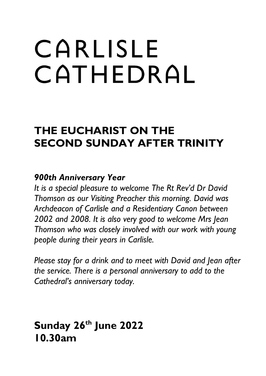# CARLISLE CATHEDRAL

# **THE EUCHARIST ON THE SECOND SUNDAY AFTER TRINITY**

## *900th Anniversary Year*

*It is a special pleasure to welcome The Rt Rev'd Dr David Thomson as our Visiting Preacher this morning. David was Archdeacon of Carlisle and a Residentiary Canon between 2002 and 2008. It is also very good to welcome Mrs Jean Thomson who was closely involved with our work with young people during their years in Carlisle.* 

*Please stay for a drink and to meet with David and Jean after the service. There is a personal anniversary to add to the Cathedral's anniversary today.*

## **Sunday 26th June 2022 10.30am**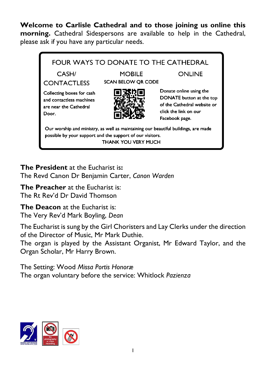**Welcome to Carlisle Cathedral and to those joining us online this morning.** Cathedral Sidespersons are available to help in the Cathedral, please ask if you have any particular needs.



**The President** at the Eucharist is**:** The Revd Canon Dr Benjamin Carter, *Canon Warden*

**The Preacher** at the Eucharist is: The Rt Rev'd Dr David Thomson

**The Deacon** at the Eucharist is: The Very Rev'd Mark Boyling, *Dean*

The Eucharist is sung by the Girl Choristers and Lay Clerks under the direction of the Director of Music, Mr Mark Duthie.

The organ is played by the Assistant Organist, Mr Edward Taylor, and the Organ Scholar, Mr Harry Brown.

The Setting: Wood *Missa Portis Honoræ* The organ voluntary before the service: Whitlock *Pazienza*

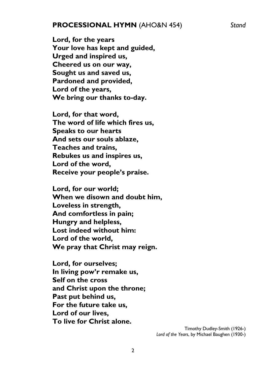#### **PROCESSIONAL HYMN** (AHO&N 454) *Stand*

**Lord, for the years Your love has kept and guided, Urged and inspired us, Cheered us on our way, Sought us and saved us, Pardoned and provided, Lord of the years, We bring our thanks to-day.**

**Lord, for that word, The word of life which fires us, Speaks to our hearts And sets our souls ablaze, Teaches and trains, Rebukes us and inspires us, Lord of the word, Receive your people's praise.**

**Lord, for our world; When we disown and doubt him, Loveless in strength, And comfortless in pain; Hungry and helpless, Lost indeed without him: Lord of the world, We pray that Christ may reign.**

**Lord, for ourselves; In living pow'r remake us, Self on the cross and Christ upon the throne; Past put behind us, For the future take us, Lord of our lives, To live for Christ alone.**

> Timothy Dudley-Smith (1926-) *Lord of the Years*, by Michael Baughen (1930-)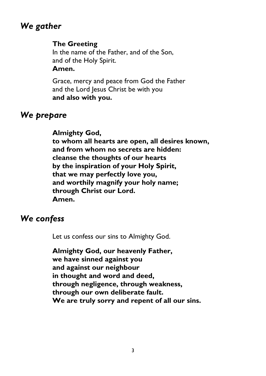## *We gather*

#### **The Greeting**

In the name of the Father, and of the Son, and of the Holy Spirit. **Amen.**

Grace, mercy and peace from God the Father and the Lord Jesus Christ be with you **and also with you.**

## *We prepare*

**Almighty God, to whom all hearts are open, all desires known, and from whom no secrets are hidden: cleanse the thoughts of our hearts by the inspiration of your Holy Spirit, that we may perfectly love you, and worthily magnify your holy name; through Christ our Lord. Amen.**

## *We confess*

Let us confess our sins to Almighty God.

**Almighty God, our heavenly Father, we have sinned against you and against our neighbour in thought and word and deed, through negligence, through weakness, through our own deliberate fault. We are truly sorry and repent of all our sins.**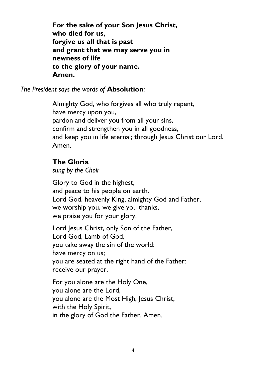**For the sake of your Son Jesus Christ, who died for us, forgive us all that is past and grant that we may serve you in newness of life to the glory of your name. Amen.**

*The President says the words of* **Absolution**:

Almighty God, who forgives all who truly repent, have mercy upon you, pardon and deliver you from all your sins, confirm and strengthen you in all goodness, and keep you in life eternal; through Jesus Christ our Lord. Amen.

#### **The Gloria**

*sung by the Choir*

Glory to God in the highest, and peace to his people on earth. Lord God, heavenly King, almighty God and Father, we worship you, we give you thanks, we praise you for your glory.

Lord Jesus Christ, only Son of the Father, Lord God, Lamb of God, you take away the sin of the world: have mercy on us; you are seated at the right hand of the Father: receive our prayer.

For you alone are the Holy One, you alone are the Lord, you alone are the Most High, Jesus Christ, with the Holy Spirit, in the glory of God the Father. Amen.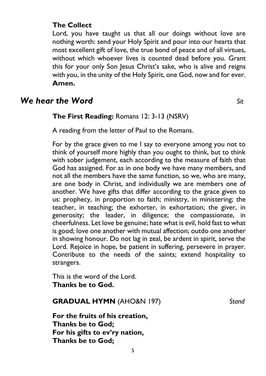#### **The Collect**

Lord, you have taught us that all our doings without love are nothing worth: send your Holy Spirit and pour into our hearts that most excellent gift of love, the true bond of peace and of all virtues, without which whoever lives is counted dead before you. Grant this for your only Son Jesus Christ's sake, who is alive and reigns with you, in the unity of the Holy Spirit, one God, now and for ever. **Amen.**

### *We hear the Word* Sit

#### **The First Reading:** Romans 12: 3-13 (NSRV)

A reading from the letter of Paul to the Romans.

For by the grace given to me I say to everyone among you not to think of yourself more highly than you ought to think, but to think with sober judgement, each according to the measure of faith that God has assigned. For as in one body we have many members, and not all the members have the same function, so we, who are many, are one body in Christ, and individually we are members one of another. We have gifts that differ according to the grace given to us: prophecy, in proportion to faith; ministry, in ministering; the teacher, in teaching; the exhorter, in exhortation; the giver, in generosity; the leader, in diligence; the compassionate, in cheerfulness. Let love be genuine; hate what is evil, hold fast to what is good; love one another with mutual affection; outdo one another in showing honour. Do not lag in zeal, be ardent in spirit, serve the Lord. Rejoice in hope, be patient in suffering, persevere in prayer. Contribute to the needs of the saints; extend hospitality to strangers.

This is the word of the Lord. **Thanks be to God.**

#### **GRADUAL HYMN** (AHO&N 197) *Stand*

**For the fruits of his creation, Thanks be to God; For his gifts to ev'ry nation, Thanks be to God;**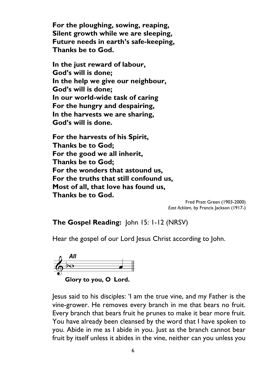**For the ploughing, sowing, reaping, Silent growth while we are sleeping, Future needs in earth's safe-keeping, Thanks be to God.**

**In the just reward of labour, God's will is done; In the help we give our neighbour, God's will is done; In our world-wide task of caring For the hungry and despairing, In the harvests we are sharing, God's will is done.**

**For the harvests of his Spirit, Thanks be to God; For the good we all inherit, Thanks be to God; For the wonders that astound us, For the truths that still confound us, Most of all, that love has found us, Thanks be to God.**

> Fred Pratt Green (1903-2000) *East Acklam*, by Francis Jackson (1917-)

**The Gospel Reading:** John 15: 1-12 (NRSV)

Hear the gospel of our Lord Jesus Christ according to John.



Jesus said to his disciples: 'I am the true vine, and my Father is the vine-grower. He removes every branch in me that bears no fruit. Every branch that bears fruit he prunes to make it bear more fruit. You have already been cleansed by the word that I have spoken to you. Abide in me as I abide in you. Just as the branch cannot bear fruit by itself unless it abides in the vine, neither can you unless you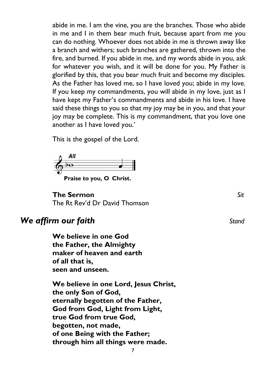abide in me. I am the vine, you are the branches. Those who abide in me and I in them bear much fruit, because apart from me you can do nothing. Whoever does not abide in me is thrown away like a branch and withers; such branches are gathered, thrown into the fire, and burned. If you abide in me, and my words abide in you, ask for whatever you wish, and it will be done for you. My Father is glorified by this, that you bear much fruit and become my disciples. As the Father has loved me, so I have loved you; abide in my love. If you keep my commandments, you will abide in my love, just as I have kept my Father's commandments and abide in his love. I have said these things to you so that my joy may be in you, and that your joy may be complete. This is my commandment, that you love one another as I have loved you.'

This is the gospel of the Lord.



Praise to you, O Christ.

**The Sermon** *Sit* The Rt Rev'd Dr David Thomson

## *We affirm our faith Stand Stand*

**We believe in one God the Father, the Almighty maker of heaven and earth of all that is, seen and unseen.**

**We believe in one Lord, Jesus Christ, the only Son of God, eternally begotten of the Father, God from God, Light from Light, true God from true God, begotten, not made, of one Being with the Father; through him all things were made.**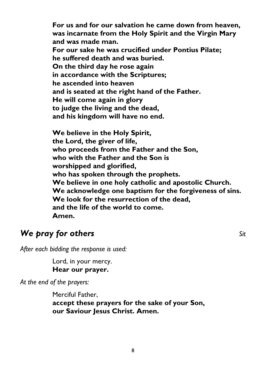**For us and for our salvation he came down from heaven, was incarnate from the Holy Spirit and the Virgin Mary and was made man. For our sake he was crucified under Pontius Pilate; he suffered death and was buried. On the third day he rose again in accordance with the Scriptures; he ascended into heaven and is seated at the right hand of the Father. He will come again in glory to judge the living and the dead, and his kingdom will have no end.**

**We believe in the Holy Spirit, the Lord, the giver of life, who proceeds from the Father and the Son, who with the Father and the Son is worshipped and glorified, who has spoken through the prophets. We believe in one holy catholic and apostolic Church. We acknowledge one baptism for the forgiveness of sins. We look for the resurrection of the dead, and the life of the world to come. Amen.** 

## *We pray for others Sit*

*After each bidding the response is used:*

Lord, in your mercy. **Hear our prayer.**

*At the end of the prayers:*

Merciful Father, **accept these prayers for the sake of your Son, our Saviour Jesus Christ. Amen.**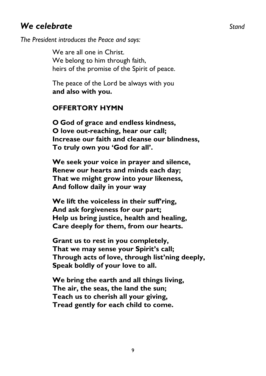## *We celebrate Stand*

*The President introduces the Peace and says:*

We are all one in Christ. We belong to him through faith, heirs of the promise of the Spirit of peace.

The peace of the Lord be always with you **and also with you.**

#### **OFFERTORY HYMN**

**O God of grace and endless kindness, O love out-reaching, hear our call; Increase our faith and cleanse our blindness, To truly own you 'God for all'.**

**We seek your voice in prayer and silence, Renew our hearts and minds each day; That we might grow into your likeness, And follow daily in your way**

**We lift the voiceless in their suff'ring, And ask forgiveness for our part; Help us bring justice, health and healing, Care deeply for them, from our hearts.** 

**Grant us to rest in you completely, That we may sense your Spirit's call; Through acts of love, through list'ning deeply, Speak boldly of your love to all.**

**We bring the earth and all things living, The air, the seas, the land the sun; Teach us to cherish all your giving, Tread gently for each child to come.**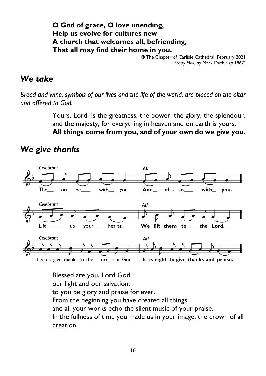**O God of grace, O love unending, Help us evolve for cultures new A church that welcomes all, befriending, That all may find their home in you.**

© The Chapter of Carlisle Cathedral, February 2021 *Fratry Hall*, by Mark Duthie (b.1967)

## *We take*

*Bread and wine, symbols of our lives and the life of the world, are placed on the altar and offered to God.*

> Yours, Lord, is the greatness, the power, the glory, the splendour, and the majesty; for everything in heaven and on earth is yours. **All things come from you, and of your own do we give you.**

## *We give thanks*



Blessed are you, Lord God, our light and our salvation; to you be glory and praise for ever. From the beginning you have created all things and all your works echo the silent music of your praise. In the fullness of time you made us in your image, the crown of all creation.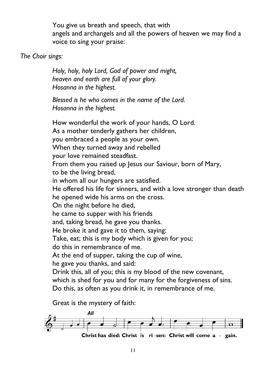You give us breath and speech, that with angels and archangels and all the powers of heaven we may find a voice to sing your praise:

#### *The Choir sings:*

*Holy, holy, holy Lord, God of power and might, heaven and earth are full of your glory. Hosanna in the highest.*

*Blessed is he who comes in the name of the Lord. Hosanna in the highest.* 

How wonderful the work of your hands, O Lord. As a mother tenderly gathers her children, you embraced a people as your own. When they turned away and rebelled your love remained steadfast. From them you raised up Jesus our Saviour, born of Mary, to be the living bread, in whom all our hungers are satisfied. He offered his life for sinners, and with a love stronger than death he opened wide his arms on the cross. On the night before he died, he came to supper with his friends and, taking bread, he gave you thanks. He broke it and gave it to them, saying: Take, eat; this is my body which is given for you; do this in remembrance of me. At the end of supper, taking the cup of wine, he gave you thanks, and said: Drink this, all of you; this is my blood of the new covenant, which is shed for you and for many for the forgiveness of sins. Do this, as often as you drink it, in remembrance of me.

Great is the mystery of faith:

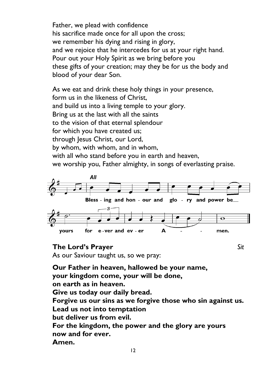Father, we plead with confidence his sacrifice made once for all upon the cross; we remember his dying and rising in glory, and we rejoice that he intercedes for us at your right hand. Pour out your Holy Spirit as we bring before you these gifts of your creation; may they be for us the body and blood of your dear Son.

As we eat and drink these holy things in your presence, form us in the likeness of Christ, and build us into a living temple to your glory. Bring us at the last with all the saints to the vision of that eternal splendour for which you have created us; through Jesus Christ, our Lord, by whom, with whom, and in whom, with all who stand before you in earth and heaven, we worship you, Father almighty, in songs of everlasting praise.



#### **The Lord's Prayer** *Sit*

As our Saviour taught us, so we pray:

12 **Our Father in heaven, hallowed be your name, your kingdom come, your will be done, on earth as in heaven. Give us today our daily bread. Forgive us our sins as we forgive those who sin against us. Lead us not into temptation but deliver us from evil. For the kingdom, the power and the glory are yours now and for ever. Amen.**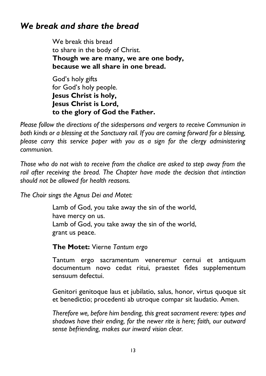## *We break and share the bread*

We break this bread to share in the body of Christ. **Though we are many, we are one body, because we all share in one bread.**

God's holy gifts for God's holy people. **Jesus Christ is holy, Jesus Christ is Lord, to the glory of God the Father.**

*Please follow the directions of the sidespersons and vergers to receive Communion in both kinds or a blessing at the Sanctuary rail. If you are coming forward for a blessing, please carry this service paper with you as a sign for the clergy administering communion.*

*Those who do not wish to receive from the chalice are asked to step away from the*  rail after receiving the bread. The Chapter have made the decision that intinction *should not be allowed for health reasons.*

*The Choir sings the Agnus Dei and Motet:*

Lamb of God, you take away the sin of the world, have mercy on us. Lamb of God, you take away the sin of the world, grant us peace.

**The Motet:** Vierne *Tantum ergo*

Tantum ergo sacramentum veneremur cernui et antiquum documentum novo cedat ritui, praestet fides supplementum sensuum defectui.

Genitori genitoque laus et jubilatio, salus, honor, virtus quoque sit et benedictio; procedenti ab utroque compar sit laudatio. Amen.

*Therefore we, before him bending, this great sacrament revere: types and shadows have their ending, for the newer rite is here; faith, our outward sense befriending, makes our inward vision clear.*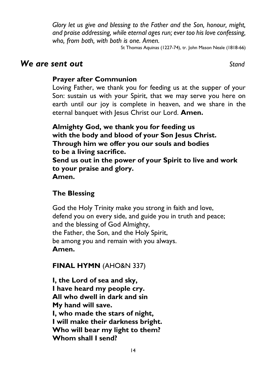*Glory let us give and blessing to the Father and the Son, honour, might, and praise addressing, while eternal ages run; ever too his love confessing, who, from both, with both is one. Amen.*

St Thomas Aquinas (1227-74), tr. John Mason Neale (1818-66)

#### *We are sent out Stand*

#### **Prayer after Communion**

Loving Father, we thank you for feeding us at the supper of your Son: sustain us with your Spirit, that we may serve you here on earth until our joy is complete in heaven, and we share in the eternal banquet with Jesus Christ our Lord. Amen.

**Almighty God, we thank you for feeding us with the body and blood of your Son Jesus Christ. Through him we offer you our souls and bodies to be a living sacrifice. Send us out in the power of your Spirit to live and work to your praise and glory. Amen.** 

## **The Blessing**

God the Holy Trinity make you strong in faith and love, defend you on every side, and guide you in truth and peace; and the blessing of God Almighty, the Father, the Son, and the Holy Spirit, be among you and remain with you always. **Amen.**

**FINAL HYMN** (AHO&N 337)

**I, the Lord of sea and sky, I have heard my people cry. All who dwell in dark and sin My hand will save. I, who made the stars of night, I will make their darkness bright. Who will bear my light to them? Whom shall I send?**